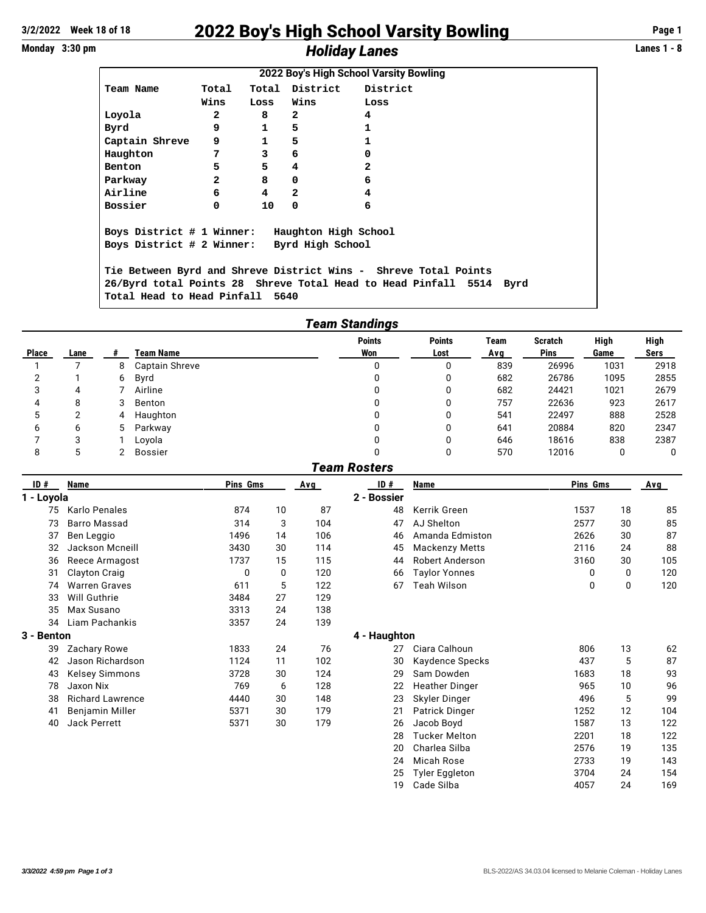## **3/2/2022 Week 18 of 18** 2022 Boy's High School Varsity Bowling **Page 1** Monday 3:30 pm *Holiday Lanes*

| 2022 Boy's High School Varsity Bowling         |                |              |                |                                                                 |      |  |  |  |  |  |
|------------------------------------------------|----------------|--------------|----------------|-----------------------------------------------------------------|------|--|--|--|--|--|
| Team Name                                      | Total          |              |                | Total District District                                         |      |  |  |  |  |  |
|                                                | Wins           | Loss         | Wins           | Loss                                                            |      |  |  |  |  |  |
| Loyola                                         | $\mathbf{2}$   | 8            | 2              | 4                                                               |      |  |  |  |  |  |
| Byrd                                           | 9              | 1            | 5              | $\mathbf{1}$                                                    |      |  |  |  |  |  |
| Captain Shreve                                 | 9              | $\mathbf{1}$ | 5              | $\mathbf{1}$                                                    |      |  |  |  |  |  |
| Haughton                                       | 7              | 3            | 6              | 0                                                               |      |  |  |  |  |  |
| Benton                                         | 5              | 5            | 4              | $\overline{a}$                                                  |      |  |  |  |  |  |
| Parkway                                        | $\overline{2}$ | 8            | 0              | 6                                                               |      |  |  |  |  |  |
| Airline                                        | 6              | 4            | $\overline{a}$ | 4                                                               |      |  |  |  |  |  |
| Bossier                                        | 0              | 10           | 0              | 6                                                               |      |  |  |  |  |  |
|                                                |                |              |                |                                                                 |      |  |  |  |  |  |
| Boys District # 1 Winner: Haughton High School |                |              |                |                                                                 |      |  |  |  |  |  |
| Boys District # 2 Winner: Byrd High School     |                |              |                |                                                                 |      |  |  |  |  |  |
|                                                |                |              |                |                                                                 |      |  |  |  |  |  |
|                                                |                |              |                | Tie Between Byrd and Shreve District Wins - Shreve Total Points |      |  |  |  |  |  |
|                                                |                |              |                | 26/Byrd total Points 28 Shreve Total Head to Head Pinfall 5514  | Byrd |  |  |  |  |  |
| Total Head to Head Pinfall 5640                |                |              |                |                                                                 |      |  |  |  |  |  |

| <b>Team Standings</b> |      |   |                |                      |                       |             |                        |              |              |  |
|-----------------------|------|---|----------------|----------------------|-----------------------|-------------|------------------------|--------------|--------------|--|
| <b>Place</b>          | Lane | # | Team Name      | <b>Points</b><br>Won | <b>Points</b><br>Lost | Team<br>Avg | <b>Scratch</b><br>Pins | High<br>Game | High<br>Sers |  |
|                       |      | 8 | Captain Shreve | 0                    | 0                     | 839         | 26996                  | 1031         | 2918         |  |
| ⌒                     |      | 6 | Byrd           |                      | 0                     | 682         | 26786                  | 1095         | 2855         |  |
| 3                     | 4    |   | Airline        | 0                    | 0                     | 682         | 24421                  | 1021         | 2679         |  |
| 4                     | 8    | 3 | Benton         | 0                    | 0                     | 757         | 22636                  | 923          | 2617         |  |
| C                     | っ    | 4 | Haughton       | 0                    | 0                     | 541         | 22497                  | 888          | 2528         |  |
| 6                     | 6    | 5 | Parkway        |                      | 0                     | 641         | 20884                  | 820          | 2347         |  |
|                       | 3    |   | Lovola         |                      | 0                     | 646         | 18616                  | 838          | 2387         |  |
| 8                     |      |   | <b>Bossier</b> |                      | 0                     | 570         | 12016                  |              | 0            |  |

|                           |                         |          |    |     | <b>Team Rosters</b> |                                 |          |    |     |
|---------------------------|-------------------------|----------|----|-----|---------------------|---------------------------------|----------|----|-----|
| ID#<br>Name<br>1 - Loyola |                         | Pins Gms |    | Avg | ID#                 | Name                            | Pins Gms |    | Avg |
|                           |                         |          |    |     | 2 - Bossier         |                                 |          |    |     |
| 75                        | Karlo Penales           | 874      | 10 | 87  | 48                  | Kerrik Green                    | 1537     | 18 | 85  |
| 73                        | <b>Barro Massad</b>     | 314      | 3  | 104 | 47                  | AJ Shelton                      | 2577     | 30 | 85  |
| 37                        | Ben Leggio              | 1496     | 14 | 106 | 46                  | Amanda Edmiston                 | 2626     | 30 | 87  |
| 32                        | Jackson Mcneill         | 3430     | 30 | 114 | 45                  | <b>Mackenzy Metts</b>           | 2116     | 24 | 88  |
| 36                        | Reece Armagost          | 1737     | 15 | 115 | 44                  | <b>Robert Anderson</b>          | 3160     | 30 | 105 |
| 31                        | <b>Clayton Craig</b>    | 0        | 0  | 120 | 66                  | <b>Taylor Yonnes</b>            |          | 0  | 120 |
| 74                        | <b>Warren Graves</b>    | 611      | 5  | 122 | 67                  | Teah Wilson                     | 0        | 0  | 120 |
| 33                        | Will Guthrie            | 3484     | 27 | 129 |                     |                                 |          |    |     |
| 35                        | Max Susano              | 3313     | 24 | 138 |                     |                                 |          |    |     |
| 34                        | Liam Pachankis          | 3357     | 24 | 139 |                     |                                 |          |    |     |
| 3 - Benton                |                         |          |    |     | 4 - Haughton        |                                 |          |    |     |
| 39                        | Zachary Rowe            | 1833     | 24 | 76  | 27                  | Ciara Calhoun                   | 806      | 13 | 62  |
| 42                        | Jason Richardson        | 1124     | 11 | 102 | 30                  | Kaydence Specks                 | 437      | 5  | 87  |
| 43                        | <b>Kelsey Simmons</b>   | 3728     | 30 | 124 | 29                  | Sam Dowden                      | 1683     | 18 | 93  |
| 78                        | Jaxon Nix               | 769      | 6  | 128 | 22                  | <b>Heather Dinger</b>           | 965      | 10 | 96  |
| 38                        | <b>Richard Lawrence</b> | 4440     | 30 | 148 | 23                  | Skyler Dinger                   | 496      | 5  | 99  |
| 41                        | Benjamin Miller         | 5371     | 30 | 179 | 21                  | Patrick Dinger                  | 1252     | 12 | 104 |
| 40                        | <b>Jack Perrett</b>     | 5371     | 30 | 179 | 26                  | Jacob Boyd                      | 1587     | 13 | 122 |
|                           |                         |          |    |     | 28                  | <b>Tucker Melton</b>            | 2201     | 18 | 122 |
|                           |                         |          |    |     | nn.                 | $O2$ and $O2$ and $O3$ and $O4$ | 0.57     | 10 | 10F |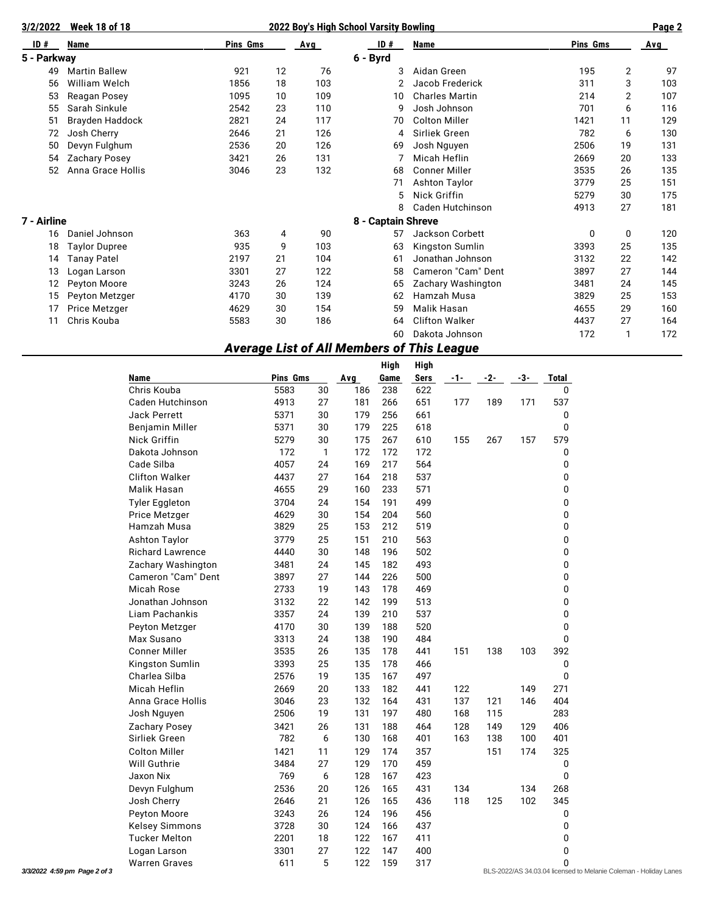| 3/2/2022    | <b>Week 18 of 18</b> |      |    |     | Page 2             |                         |          |                |     |  |
|-------------|----------------------|------|----|-----|--------------------|-------------------------|----------|----------------|-----|--|
| ID#         | Name                 |      |    | Avg | ID#                | Name                    | Pins Gms |                | Avg |  |
| 5 - Parkway |                      |      |    |     | 6 - Byrd           |                         |          |                |     |  |
| 49          | <b>Martin Ballew</b> | 921  | 12 | 76  | 3                  | Aidan Green             | 195      | $\overline{2}$ | 97  |  |
| 56          | William Welch        | 1856 | 18 | 103 |                    | Jacob Frederick         | 311      | 3              | 103 |  |
| 53          | Reagan Posey         | 1095 | 10 | 109 | 10                 | <b>Charles Martin</b>   | 214      | $\overline{2}$ | 107 |  |
| 55          | Sarah Sinkule        | 2542 | 23 | 110 | 9                  | Josh Johnson            | 701      | 6              | 116 |  |
| 51          | Brayden Haddock      | 2821 | 24 | 117 | 70                 | <b>Colton Miller</b>    | 1421     | 11             | 129 |  |
| 72          | Josh Cherry          | 2646 | 21 | 126 | 4                  | Sirliek Green           | 782      | 6              | 130 |  |
| 50          | Devyn Fulghum        | 2536 | 20 | 126 | 69                 | Josh Nguyen             | 2506     | 19             | 131 |  |
| 54          | Zachary Posey        | 3421 | 26 | 131 |                    | Micah Heflin            | 2669     | 20             | 133 |  |
| 52          | Anna Grace Hollis    | 3046 | 23 | 132 | 68                 | <b>Conner Miller</b>    | 3535     | 26             | 135 |  |
|             |                      |      |    |     | 71                 | Ashton Taylor           | 3779     | 25             | 151 |  |
|             |                      |      |    |     | 5                  | Nick Griffin            | 5279     | 30             | 175 |  |
|             |                      |      |    |     | 8                  | <b>Caden Hutchinson</b> | 4913     | 27             | 181 |  |
| 7 - Airline |                      |      |    |     | 8 - Captain Shreve |                         |          |                |     |  |
| 16          | Daniel Johnson       | 363  | 4  | 90  | 57                 | Jackson Corbett         | 0        | 0              | 120 |  |
| 18          | <b>Taylor Dupree</b> | 935  | 9  | 103 | 63                 | Kingston Sumlin         | 3393     | 25             | 135 |  |
| 14          | <b>Tanay Patel</b>   | 2197 | 21 | 104 | 61                 | Jonathan Johnson        | 3132     | 22             | 142 |  |
| 13          | Logan Larson         | 3301 | 27 | 122 | 58                 | Cameron "Cam" Dent      | 3897     | 27             | 144 |  |
| 12          | Peyton Moore         | 3243 | 26 | 124 | 65                 | Zachary Washington      | 3481     | 24             | 145 |  |
| 15          | Peyton Metzger       | 4170 | 30 | 139 | 62                 | Hamzah Musa             | 3829     | 25             | 153 |  |
| 17          | Price Metzger        | 4629 | 30 | 154 | 59                 | Malik Hasan             | 4655     | 29             | 160 |  |
| 11          | Chris Kouba          | 5583 | 30 | 186 | 64                 | <b>Clifton Walker</b>   | 4437     | 27             | 164 |  |
|             |                      |      |    |     | 60                 | Dakota Johnson          | 172      | 1              | 172 |  |

## *Average List of All Members of This League*

|                              |                         |          |              |     | <b>High</b> | High        |       |     |     |                                                                  |
|------------------------------|-------------------------|----------|--------------|-----|-------------|-------------|-------|-----|-----|------------------------------------------------------------------|
|                              | Name                    | Pins Gms |              | Avg | Game        | <b>Sers</b> | $-1-$ | -2- | -3- | Total                                                            |
|                              | Chris Kouba             | 5583     | 30           | 186 | 238         | 622         |       |     |     | $\mathbf 0$                                                      |
|                              | Caden Hutchinson        | 4913     | 27           | 181 | 266         | 651         | 177   | 189 | 171 | 537                                                              |
|                              | <b>Jack Perrett</b>     | 5371     | 30           | 179 | 256         | 661         |       |     |     | 0                                                                |
|                              | Benjamin Miller         | 5371     | 30           | 179 | 225         | 618         |       |     |     | $\mathbf 0$                                                      |
|                              | Nick Griffin            | 5279     | 30           | 175 | 267         | 610         | 155   | 267 | 157 | 579                                                              |
|                              | Dakota Johnson          | 172      | $\mathbf{1}$ | 172 | 172         | 172         |       |     |     | 0                                                                |
|                              | Cade Silba              | 4057     | 24           | 169 | 217         | 564         |       |     |     | 0                                                                |
|                              | <b>Clifton Walker</b>   | 4437     | 27           | 164 | 218         | 537         |       |     |     | 0                                                                |
|                              | Malik Hasan             | 4655     | 29           | 160 | 233         | 571         |       |     |     | 0                                                                |
|                              | <b>Tyler Eggleton</b>   | 3704     | 24           | 154 | 191         | 499         |       |     |     | 0                                                                |
|                              | <b>Price Metzger</b>    | 4629     | 30           | 154 | 204         | 560         |       |     |     | 0                                                                |
|                              | Hamzah Musa             | 3829     | 25           | 153 | 212         | 519         |       |     |     | $\mathbf 0$                                                      |
|                              | <b>Ashton Taylor</b>    | 3779     | 25           | 151 | 210         | 563         |       |     |     | 0                                                                |
|                              | <b>Richard Lawrence</b> | 4440     | 30           | 148 | 196         | 502         |       |     |     | 0                                                                |
|                              | Zachary Washington      | 3481     | 24           | 145 | 182         | 493         |       |     |     | 0                                                                |
|                              | Cameron "Cam" Dent      | 3897     | 27           | 144 | 226         | 500         |       |     |     | 0                                                                |
|                              | Micah Rose              | 2733     | 19           | 143 | 178         | 469         |       |     |     | 0                                                                |
|                              | Jonathan Johnson        | 3132     | 22           | 142 | 199         | 513         |       |     |     | 0                                                                |
|                              | Liam Pachankis          | 3357     | 24           | 139 | 210         | 537         |       |     |     | 0                                                                |
|                              | Peyton Metzger          | 4170     | 30           | 139 | 188         | 520         |       |     |     | 0                                                                |
|                              | Max Susano              | 3313     | 24           | 138 | 190         | 484         |       |     |     | $\mathbf 0$                                                      |
|                              | <b>Conner Miller</b>    | 3535     | 26           | 135 | 178         | 441         | 151   | 138 | 103 | 392                                                              |
|                              | Kingston Sumlin         | 3393     | 25           | 135 | 178         | 466         |       |     |     | 0                                                                |
|                              | Charlea Silba           | 2576     | 19           | 135 | 167         | 497         |       |     |     | 0                                                                |
|                              | <b>Micah Heflin</b>     | 2669     | 20           | 133 | 182         | 441         | 122   |     | 149 | 271                                                              |
|                              | Anna Grace Hollis       | 3046     | 23           | 132 | 164         | 431         | 137   | 121 | 146 | 404                                                              |
|                              | Josh Nguyen             | 2506     | 19           | 131 | 197         | 480         | 168   | 115 |     | 283                                                              |
|                              | Zachary Posey           | 3421     | 26           | 131 | 188         | 464         | 128   | 149 | 129 | 406                                                              |
|                              | Sirliek Green           | 782      | 6            | 130 | 168         | 401         | 163   | 138 | 100 | 401                                                              |
|                              | <b>Colton Miller</b>    | 1421     | 11           | 129 | 174         | 357         |       | 151 | 174 | 325                                                              |
|                              | Will Guthrie            | 3484     | 27           | 129 | 170         | 459         |       |     |     | 0                                                                |
|                              | Jaxon Nix               | 769      | 6            | 128 | 167         | 423         |       |     |     | $\mathbf 0$                                                      |
|                              | Devyn Fulghum           | 2536     | 20           | 126 | 165         | 431         | 134   |     | 134 | 268                                                              |
|                              | Josh Cherry             | 2646     | 21           | 126 | 165         | 436         | 118   | 125 | 102 | 345                                                              |
|                              | Peyton Moore            | 3243     | 26           | 124 | 196         | 456         |       |     |     | 0                                                                |
|                              | <b>Kelsey Simmons</b>   | 3728     | 30           | 124 | 166         | 437         |       |     |     | 0                                                                |
|                              | <b>Tucker Melton</b>    | 2201     | 18           | 122 | 167         | 411         |       |     |     | 0                                                                |
|                              | Logan Larson            | 3301     | 27           | 122 | 147         | 400         |       |     |     | 0                                                                |
|                              | <b>Warren Graves</b>    | 611      | 5            | 122 | 159         | 317         |       |     |     | 0                                                                |
| 3/3/2022 4:59 pm Page 2 of 3 |                         |          |              |     |             |             |       |     |     | BLS-2022/AS 34.03.04 licensed to Melanie Coleman - Holiday Lanes |